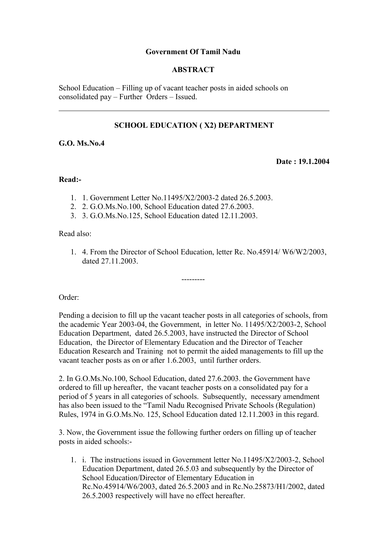## **Government Of Tamil Nadu**

### **ABSTRACT**

School Education – Filling up of vacant teacher posts in aided schools on consolidated pay – Further Orders – Issued.

## **SCHOOL EDUCATION ( X2) DEPARTMENT**

### **G.O. Ms.No.4**

**Date : 19.1.2004**

#### **Read:-**

- 1. 1. Government Letter No.11495/X2/2003-2 dated 26.5.2003.
- 2. 2. G.O.Ms.No.100, School Education dated 27.6.2003.
- 3. 3. G.O.Ms.No.125, School Education dated 12.11.2003.

#### Read also:

1. 4. From the Director of School Education, letter Rc. No.45914/ W6/W2/2003, dated 27.11.2003.

---------

Order:

Pending a decision to fill up the vacant teacher posts in all categories of schools, from the academic Year 2003-04, the Government, in letter No. 11495/X2/2003-2, School Education Department, dated 26.5.2003, have instructed the Director of School Education, the Director of Elementary Education and the Director of Teacher Education Research and Training not to permit the aided managements to fill up the vacant teacher posts as on or after 1.6.2003, until further orders.

2. In G.O.Ms.No.100, School Education, dated 27.6.2003. the Government have ordered to fill up hereafter, the vacant teacher posts on a consolidated pay for a period of 5 years in all categories of schools. Subsequently, necessary amendment has also been issued to the "Tamil Nadu Recognised Private Schools (Regulation) Rules, 1974 in G.O.Ms.No. 125, School Education dated 12.11.2003 in this regard.

3. Now, the Government issue the following further orders on filling up of teacher posts in aided schools:-

1. i. The instructions issued in Government letter No.11495/X2/2003-2, School Education Department, dated 26.5.03 and subsequently by the Director of School Education/Director of Elementary Education in Rc.No.45914/W6/2003, dated 26.5.2003 and in Rc.No.25873/H1/2002, dated 26.5.2003 respectively will have no effect hereafter.